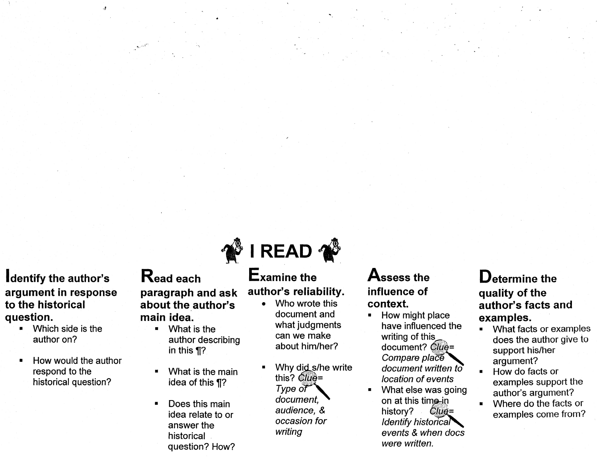**Identify the author's argument in response to the historical question.** 

·il

- Which side is the author on?
- How would the author respond to the historical question?

**Read each paragraph and ask about the author's main idea.** 

- What is the author describing in this  $\P$ ?
- What is the main idea of this ¶?
- Does this main idea relate to or answer the historical question? How?



### **Examine the author's reliability.**

- Who wrote this document and what judgments can we make about him/her?
- Why did s/he write this?  $Clu\ddot{\theta}$  = Type of document, audience, *&*  occasion for writing

**Assess the influence of context.** 

- How might place have influenced the writing of this document? *Clue=* Compare place document written to location of events
- What else was going on at this time in history?  $Clue =$  $Identify$  historica $\blacktriangleright$ events & when docs were written.

#### **Determine the quality of the author's facts and examples.**

- What facts or examples does the author give to support his/her argument?
- How do facts or examples support the author's argument?
- Where do the facts or examples come from?